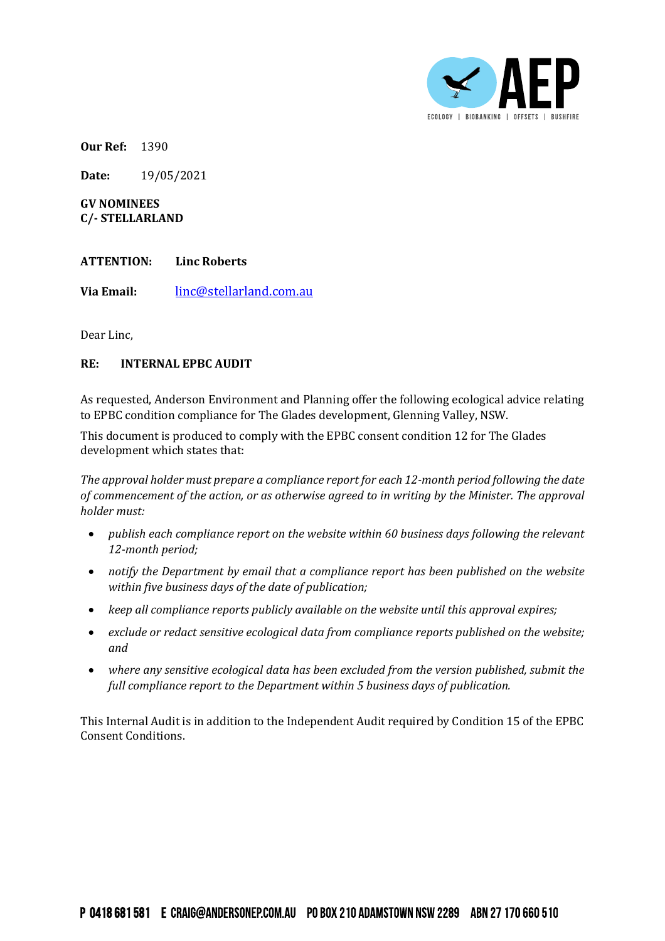

**Our Ref:** 1390

**Date:** 19/05/2021

**GV NOMINEES C/- STELLARLAND**

## **ATTENTION: Linc Roberts**

**Via Email:** [linc@stellarland.com.au](mailto:linc@stellarland.com.au)

Dear Linc,

## **RE: INTERNAL EPBC AUDIT**

As requested, Anderson Environment and Planning offer the following ecological advice relating to EPBC condition compliance for The Glades development, Glenning Valley, NSW.

This document is produced to comply with the EPBC consent condition 12 for The Glades development which states that:

*The approval holder must prepare a compliance report for each 12-month period following the date of commencement of the action, or as otherwise agreed to in writing by the Minister. The approval holder must:*

- *publish each compliance report on the website within 60 business days following the relevant 12-month period;*
- *notify the Department by email that a compliance report has been published on the website within five business days of the date of publication;*
- *keep all compliance reports publicly available on the website until this approval expires;*
- *exclude or redact sensitive ecological data from compliance reports published on the website; and*
- *where any sensitive ecological data has been excluded from the version published, submit the full compliance report to the Department within 5 business days of publication.*

This Internal Audit is in addition to the Independent Audit required by Condition 15 of the EPBC Consent Conditions.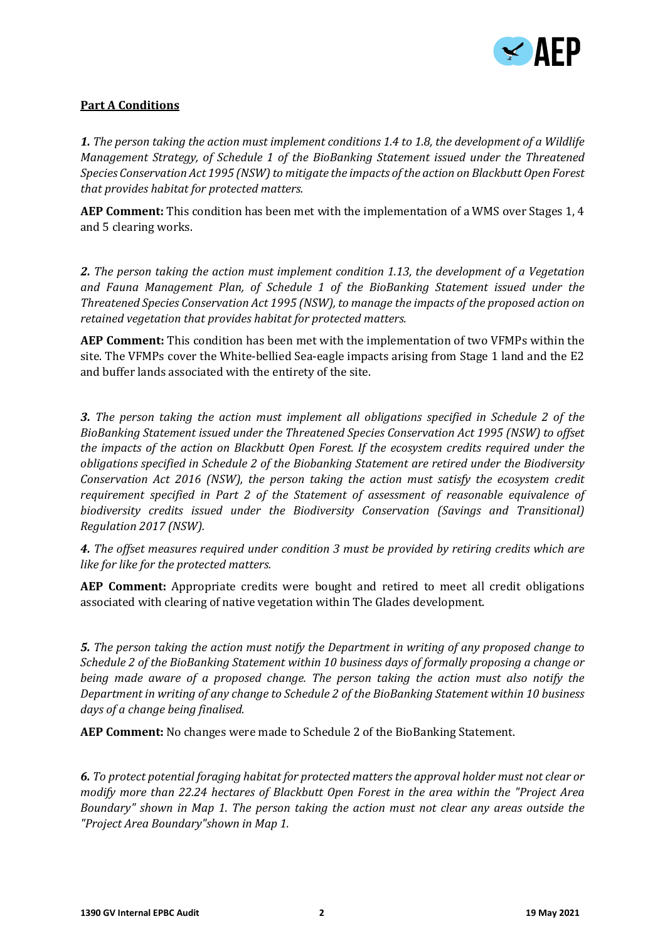

## **Part A Conditions**

*1. The person taking the action must implement conditions 1.4 to 1.8, the development of a Wildlife Management Strategy, of Schedule 1 of the BioBanking Statement issued under the Threatened Species Conservation Act 1995 (NSW) to mitigate the impacts of the action on Blackbutt Open Forest that provides habitat for protected matters.*

**AEP Comment:** This condition has been met with the implementation of a WMS over Stages 1, 4 and 5 clearing works.

*2. The person taking the action must implement condition 1.13, the development of a Vegetation and Fauna Management Plan, of Schedule 1 of the BioBanking Statement issued under the Threatened Species Conservation Act 1995 (NSW), to manage the impacts of the proposed action on retained vegetation that provides habitat for protected matters.*

**AEP Comment:** This condition has been met with the implementation of two VFMPs within the site. The VFMPs cover the White-bellied Sea-eagle impacts arising from Stage 1 land and the E2 and buffer lands associated with the entirety of the site.

*3. The person taking the action must implement all obligations specified in Schedule 2 of the BioBanking Statement issued under the Threatened Species Conservation Act 1995 (NSW) to offset the impacts of the action on Blackbutt Open Forest. If the ecosystem credits required under the obligations specified in Schedule 2 of the Biobanking Statement are retired under the Biodiversity Conservation Act 2016 (NSW), the person taking the action must satisfy the ecosystem credit requirement specified in Part 2 of the Statement of assessment of reasonable equivalence of biodiversity credits issued under the Biodiversity Conservation (Savings and Transitional) Regulation 2017 (NSW).*

*4. The offset measures required under condition 3 must be provided by retiring credits which are like for like for the protected matters.*

**AEP Comment:** Appropriate credits were bought and retired to meet all credit obligations associated with clearing of native vegetation within The Glades development.

*5. The person taking the action must notify the Department in writing of any proposed change to Schedule 2 of the BioBanking Statement within 10 business days of formally proposing a change or being made aware of a proposed change. The person taking the action must also notify the Department in writing of any change to Schedule 2 of the BioBanking Statement within 10 business days of a change being finalised.*

**AEP Comment:** No changes were made to Schedule 2 of the BioBanking Statement.

*6. To protect potential foraging habitat for protected matters the approval holder must not clear or modify more than 22.24 hectares of Blackbutt Open Forest in the area within the "Project Area Boundary" shown in Map 1. The person taking the action must not clear any areas outside the "Project Area Boundary"shown in Map 1.*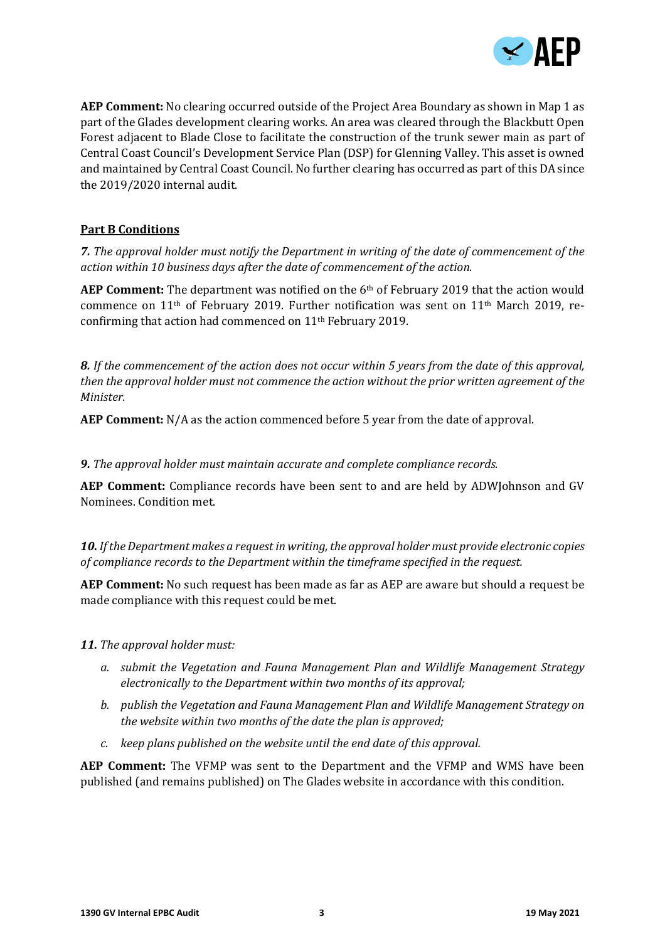

**AEP Comment:** No clearing occurred outside of the Project Area Boundary as shown in Map 1 as part of the Glades development clearing works. An area was cleared through the Blackbutt Open Forest adjacent to Blade Close to facilitate the construction of the trunk sewer main as part of Central Coast Council's Development Service Plan (DSP) for Glenning Valley. This asset is owned and maintained by Central Coast Council. No further clearing has occurred as part of this DA since the 2019/2020 internal audit.

## **Part B Conditions**

*7. The approval holder must notify the Department in writing of the date of commencement of the action within 10 business days after the date of commencement of the action.*

**AEP Comment:** The department was notified on the 6th of February 2019 that the action would commence on 11th of February 2019. Further notification was sent on 11th March 2019, reconfirming that action had commenced on 11th February 2019.

*8. If the commencement of the action does not occur within 5 years from the date of this approval, then the approval holder must not commence the action without the prior written agreement of the Minister.*

**AEP Comment:** N/A as the action commenced before 5 year from the date of approval.

*9. The approval holder must maintain accurate and complete compliance records.*

**AEP Comment:** Compliance records have been sent to and are held by ADWJohnson and GV Nominees. Condition met.

*10. If the Department makes a request in writing, the approval holder must provide electronic copies of compliance records to the Department within the timeframe specified in the request.*

**AEP Comment:** No such request has been made as far as AEP are aware but should a request be made compliance with this request could be met.

*11. The approval holder must:*

- *a. submit the Vegetation and Fauna Management Plan and Wildlife Management Strategy electronically to the Department within two months of its approval;*
- *b. publish the Vegetation and Fauna Management Plan and Wildlife Management Strategy on the website within two months of the date the plan is approved;*
- *c. keep plans published on the website until the end date of this approval.*

**AEP Comment:** The VFMP was sent to the Department and the VFMP and WMS have been published (and remains published) on The Glades website in accordance with this condition.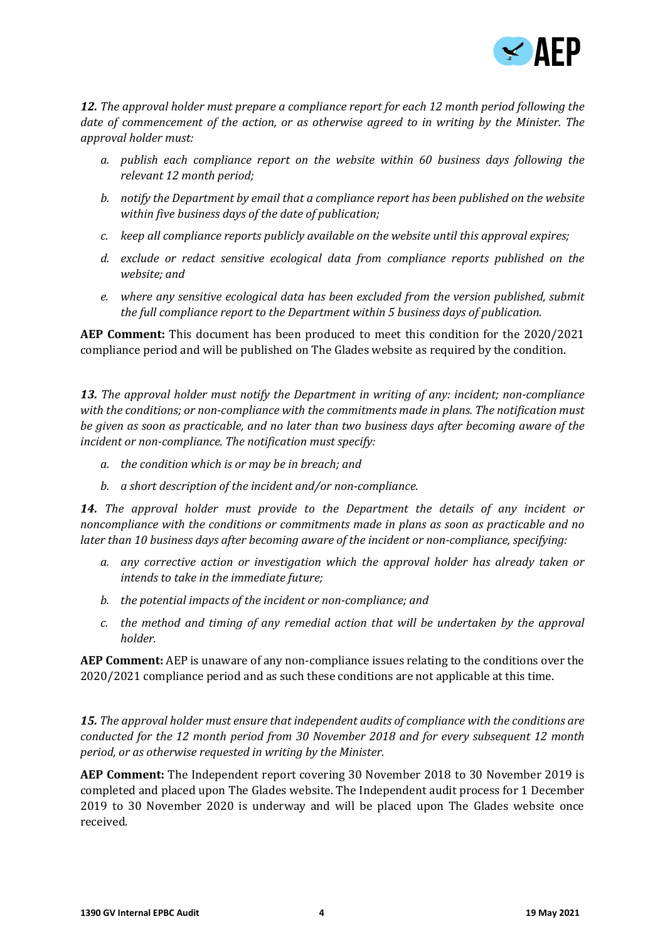

*12. The approval holder must prepare a compliance report for each 12 month period following the date of commencement of the action, or as otherwise agreed to in writing by the Minister. The approval holder must:*

- *a. publish each compliance report on the website within 60 business days following the relevant 12 month period;*
- *b. notify the Department by email that a compliance report has been published on the website within five business days of the date of publication;*
- *c. keep all compliance reports publicly available on the website until this approval expires;*
- *d. exclude or redact sensitive ecological data from compliance reports published on the website; and*
- *e. where any sensitive ecological data has been excluded from the version published, submit the full compliance report to the Department within 5 business days of publication.*

**AEP Comment:** This document has been produced to meet this condition for the 2020/2021 compliance period and will be published on The Glades website as required by the condition.

*13. The approval holder must notify the Department in writing of any: incident; non-compliance with the conditions; or non-compliance with the commitments made in plans. The notification must be given as soon as practicable, and no later than two business days after becoming aware of the incident or non-compliance. The notification must specify:*

- *a. the condition which is or may be in breach; and*
- *b. a short description of the incident and/or non-compliance.*

*14. The approval holder must provide to the Department the details of any incident or noncompliance with the conditions or commitments made in plans as soon as practicable and no later than 10 business days after becoming aware of the incident or non-compliance, specifying:*

- *a. any corrective action or investigation which the approval holder has already taken or intends to take in the immediate future;*
- *b. the potential impacts of the incident or non-compliance; and*
- *c. the method and timing of any remedial action that will be undertaken by the approval holder.*

**AEP Comment:** AEP is unaware of any non-compliance issues relating to the conditions over the 2020/2021 compliance period and as such these conditions are not applicable at this time.

*15. The approval holder must ensure that independent audits of compliance with the conditions are conducted for the 12 month period from 30 November 2018 and for every subsequent 12 month period, or as otherwise requested in writing by the Minister.*

**AEP Comment:** The Independent report covering 30 November 2018 to 30 November 2019 is completed and placed upon The Glades website. The Independent audit process for 1 December 2019 to 30 November 2020 is underway and will be placed upon The Glades website once received.